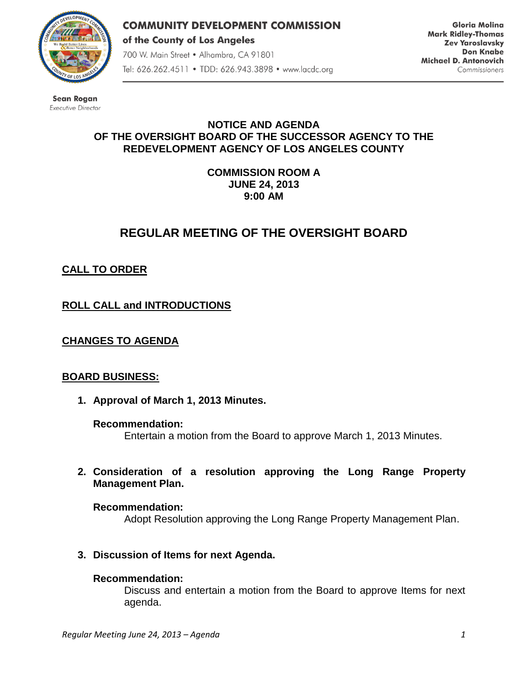

**COMMUNITY DEVELOPMENT COMMISSION** of the County of Los Angeles 700 W. Main Street · Alhambra, CA 91801 Tel: 626.262.4511 • TDD: 626.943.3898 • www.lacdc.org

**Gloria Molina Mark Ridley-Thomas Zev Yaroslavsky Don Knabe** Michael D. Antonovich Commissioners

**Sean Rogan** Executive Director

### **NOTICE AND AGENDA OF THE OVERSIGHT BOARD OF THE SUCCESSOR AGENCY TO THE REDEVELOPMENT AGENCY OF LOS ANGELES COUNTY**

**COMMISSION ROOM A JUNE 24, 2013 9:00 AM**

# **REGULAR MEETING OF THE OVERSIGHT BOARD**

# **CALL TO ORDER**

**ROLL CALL and INTRODUCTIONS** 

## **CHANGES TO AGENDA**

#### **BOARD BUSINESS:**

**1. Approval of March 1, 2013 Minutes.**

#### **Recommendation:**

Entertain a motion from the Board to approve March 1, 2013 Minutes.

**2. Consideration of a resolution approving the Long Range Property Management Plan.**

**Recommendation:**

Adopt Resolution approving the Long Range Property Management Plan.

**3. Discussion of Items for next Agenda.**

### **Recommendation:**

Discuss and entertain a motion from the Board to approve Items for next agenda.